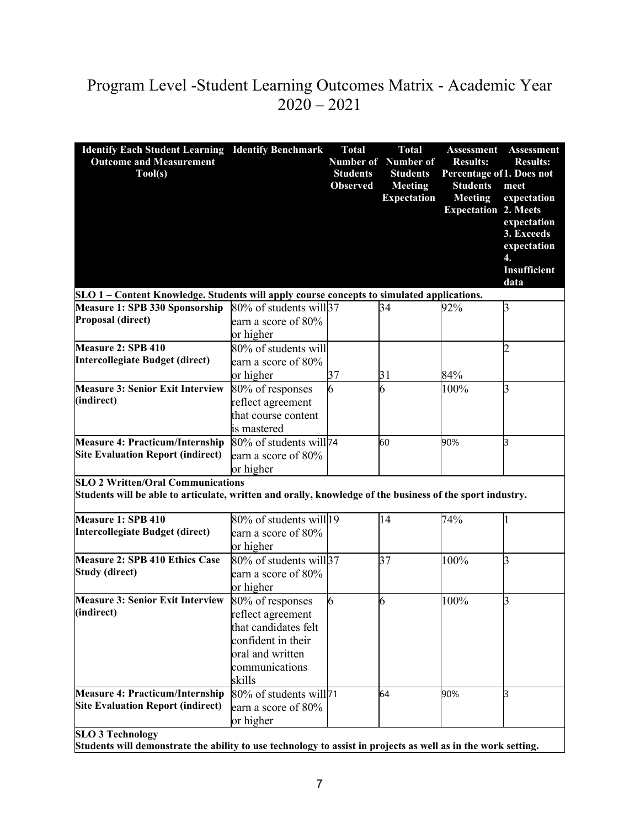## Program Level -Student Learning Outcomes Matrix - Academic Year  $2020 - 2021$

| <b>Identify Each Student Learning Identify Benchmark</b><br><b>Outcome and Measurement</b>                |                                                 | <b>Total</b>    | <b>Total</b><br>Number of Number of | <b>Assessment</b><br><b>Results:</b> | <b>Assessment</b><br><b>Results:</b> |
|-----------------------------------------------------------------------------------------------------------|-------------------------------------------------|-----------------|-------------------------------------|--------------------------------------|--------------------------------------|
| $\text{Tool}(s)$                                                                                          |                                                 | <b>Students</b> | <b>Students</b>                     | Percentage of 1. Does not            |                                      |
|                                                                                                           |                                                 | <b>Observed</b> | <b>Meeting</b>                      | <b>Students</b>                      | meet                                 |
|                                                                                                           |                                                 |                 | <b>Expectation</b>                  | <b>Meeting</b>                       | expectation                          |
|                                                                                                           |                                                 |                 |                                     | <b>Expectation 2. Meets</b>          |                                      |
|                                                                                                           |                                                 |                 |                                     |                                      | expectation<br>3. Exceeds            |
|                                                                                                           |                                                 |                 |                                     |                                      | expectation                          |
|                                                                                                           |                                                 |                 |                                     |                                      | 4.                                   |
|                                                                                                           |                                                 |                 |                                     |                                      | Insufficient                         |
|                                                                                                           |                                                 |                 |                                     |                                      | data                                 |
| SLO 1 - Content Knowledge. Students will apply course concepts to simulated applications.                 |                                                 |                 |                                     |                                      |                                      |
| Measure 1: SPB 330 Sponsorship                                                                            | 80% of students will <sup>37</sup>              |                 | 34                                  | 92%                                  | 3                                    |
| Proposal (direct)                                                                                         | earn a score of 80%                             |                 |                                     |                                      |                                      |
|                                                                                                           | or higher                                       |                 |                                     |                                      |                                      |
| Measure 2: SPB 410                                                                                        | 80% of students will                            |                 |                                     |                                      | 2                                    |
| Intercollegiate Budget (direct)                                                                           | earn a score of 80%                             |                 |                                     |                                      |                                      |
|                                                                                                           | or higher                                       | 37              | 31                                  | 84%                                  |                                      |
| <b>Measure 3: Senior Exit Interview</b>                                                                   | 80% of responses                                | 6               | 6                                   | 100%                                 | 3                                    |
| (indirect)                                                                                                | reflect agreement                               |                 |                                     |                                      |                                      |
|                                                                                                           | that course content                             |                 |                                     |                                      |                                      |
|                                                                                                           | is mastered                                     |                 |                                     |                                      |                                      |
| <b>Measure 4: Practicum/Internship</b>                                                                    | 80% of students will <sup>74</sup>              |                 | 60                                  | 90%                                  | З                                    |
| <b>Site Evaluation Report (indirect)</b>                                                                  | earn a score of 80%                             |                 |                                     |                                      |                                      |
|                                                                                                           | or higher                                       |                 |                                     |                                      |                                      |
| <b>SLO 2 Written/Oral Communications</b>                                                                  |                                                 |                 |                                     |                                      |                                      |
| Students will be able to articulate, written and orally, knowledge of the business of the sport industry. |                                                 |                 |                                     |                                      |                                      |
| Measure 1: SPB 410                                                                                        | 80% of students will 19                         |                 | 14                                  |                                      |                                      |
| Intercollegiate Budget (direct)                                                                           |                                                 |                 |                                     | 74%                                  |                                      |
|                                                                                                           | earn a score of 80%                             |                 |                                     |                                      |                                      |
| <b>Measure 2: SPB 410 Ethics Case</b>                                                                     | or higher<br>80% of students will <sup>37</sup> |                 | 37                                  |                                      |                                      |
| <b>Study (direct)</b>                                                                                     |                                                 |                 |                                     | 100%                                 | 3                                    |
|                                                                                                           | earn a score of 80%                             |                 |                                     |                                      |                                      |
| <b>Measure 3: Senior Exit Interview</b>                                                                   | or higher                                       |                 |                                     | 100%                                 |                                      |
| (indirect)                                                                                                | 80% of responses                                | 6               | 6                                   |                                      | 3                                    |
|                                                                                                           | reflect agreement<br>that candidates felt       |                 |                                     |                                      |                                      |
|                                                                                                           | confident in their                              |                 |                                     |                                      |                                      |
|                                                                                                           | oral and written                                |                 |                                     |                                      |                                      |
|                                                                                                           | communications                                  |                 |                                     |                                      |                                      |
|                                                                                                           | skills                                          |                 |                                     |                                      |                                      |
| <b>Measure 4: Practicum/Internship</b>                                                                    | $80\%$ of students will $71$                    |                 |                                     |                                      |                                      |
| <b>Site Evaluation Report (indirect)</b>                                                                  |                                                 |                 | 64                                  | 90%                                  | З                                    |
|                                                                                                           | earn a score of 80%                             |                 |                                     |                                      |                                      |
|                                                                                                           | or higher                                       |                 |                                     |                                      |                                      |
| <b>SLO 3 Technology</b>                                                                                   |                                                 |                 |                                     |                                      |                                      |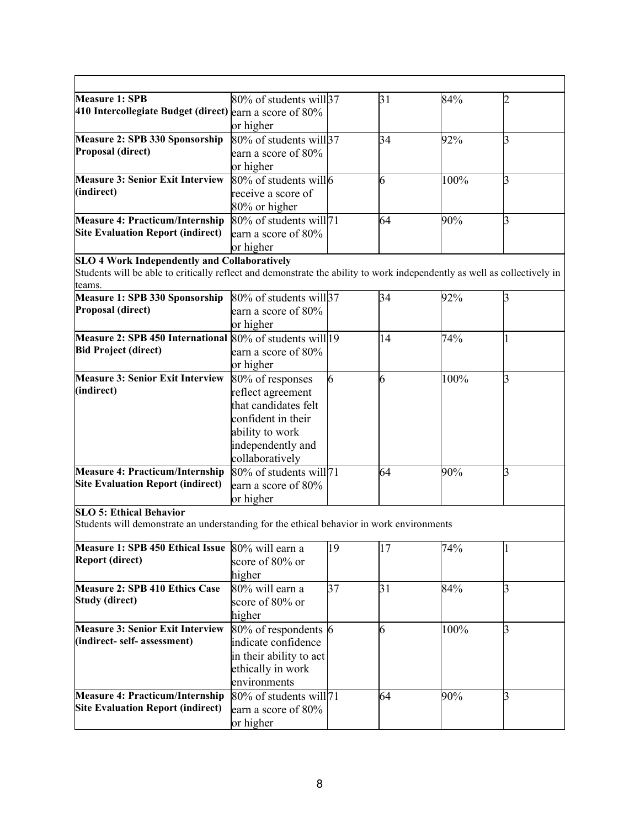| <b>Measure 1: SPB</b>                                                                                                    | 80% of students will 37            |    | 31 | 84%  | 2              |  |
|--------------------------------------------------------------------------------------------------------------------------|------------------------------------|----|----|------|----------------|--|
| 410 Intercollegiate Budget (direct) $\frac{1}{2}$ a score of 80%                                                         |                                    |    |    |      |                |  |
|                                                                                                                          | or higher                          |    |    |      |                |  |
| Measure 2: SPB 330 Sponsorship                                                                                           | 80% of students will 37            |    | 34 | 92%  | 3              |  |
| Proposal (direct)                                                                                                        | earn a score of 80%                |    |    |      |                |  |
|                                                                                                                          | or higher                          |    |    |      |                |  |
| <b>Measure 3: Senior Exit Interview</b>                                                                                  | 80% of students will6              |    | 6  | 100% | 3              |  |
| (indirect)                                                                                                               | receive a score of                 |    |    |      |                |  |
|                                                                                                                          | 80% or higher                      |    |    |      |                |  |
| <b>Measure 4: Practicum/Internship</b>                                                                                   | 80% of students will <sup>71</sup> |    | 64 | 90%  | $\overline{3}$ |  |
| <b>Site Evaluation Report (indirect)</b>                                                                                 | earn a score of 80%                |    |    |      |                |  |
|                                                                                                                          | or higher                          |    |    |      |                |  |
| <b>SLO 4 Work Independently and Collaboratively</b>                                                                      |                                    |    |    |      |                |  |
| Students will be able to critically reflect and demonstrate the ability to work independently as well as collectively in |                                    |    |    |      |                |  |
| teams.                                                                                                                   |                                    |    |    |      |                |  |
| Measure 1: SPB 330 Sponsorship                                                                                           | 80% of students will <sup>37</sup> |    | 34 | 92%  | З              |  |
| Proposal (direct)                                                                                                        | earn a score of 80%                |    |    |      |                |  |
|                                                                                                                          | or higher                          |    |    |      |                |  |
| Measure 2: SPB 450 International 80% of students will 19                                                                 |                                    |    | 14 | 74%  | 1              |  |
| <b>Bid Project (direct)</b>                                                                                              | earn a score of 80%                |    |    |      |                |  |
|                                                                                                                          | or higher                          |    |    |      |                |  |
| <b>Measure 3: Senior Exit Interview</b>                                                                                  | 80% of responses                   | 6  | 6  | 100% | 3              |  |
| (indirect)                                                                                                               | reflect agreement                  |    |    |      |                |  |
|                                                                                                                          | that candidates felt               |    |    |      |                |  |
|                                                                                                                          | confident in their                 |    |    |      |                |  |
|                                                                                                                          | ability to work                    |    |    |      |                |  |
|                                                                                                                          | independently and                  |    |    |      |                |  |
|                                                                                                                          | collaboratively                    |    |    |      |                |  |
| <b>Measure 4: Practicum/Internship</b>                                                                                   | 80% of students will <sup>71</sup> |    | 64 | 90%  | 3              |  |
| <b>Site Evaluation Report (indirect)</b>                                                                                 | earn a score of 80%                |    |    |      |                |  |
|                                                                                                                          | or higher                          |    |    |      |                |  |
| <b>SLO 5: Ethical Behavior</b>                                                                                           |                                    |    |    |      |                |  |
| Students will demonstrate an understanding for the ethical behavior in work environments                                 |                                    |    |    |      |                |  |
| Measure 1: SPB 450 Ethical Issue 80% will earn a                                                                         |                                    | 19 | 17 | 74%  | 1              |  |
| <b>Report (direct)</b>                                                                                                   | score of 80% or                    |    |    |      |                |  |
|                                                                                                                          | higher                             |    |    |      |                |  |
| <b>Measure 2: SPB 410 Ethics Case</b>                                                                                    | 80% will earn a                    | 37 | 31 | 84%  | 3              |  |
| <b>Study (direct)</b>                                                                                                    | score of 80% or                    |    |    |      |                |  |
|                                                                                                                          | higher                             |    |    |      |                |  |
| <b>Measure 3: Senior Exit Interview</b>                                                                                  | 80% of respondents 6               |    | 6  | 100% | 3              |  |
| (indirect- self- assessment)                                                                                             | indicate confidence                |    |    |      |                |  |
|                                                                                                                          | in their ability to act            |    |    |      |                |  |
|                                                                                                                          | ethically in work                  |    |    |      |                |  |
|                                                                                                                          | environments                       |    |    |      |                |  |
| <b>Measure 4: Practicum/Internship</b>                                                                                   | 80% of students will71             |    | 64 | 90%  | 3              |  |
| <b>Site Evaluation Report (indirect)</b>                                                                                 | earn a score of 80%                |    |    |      |                |  |
|                                                                                                                          | or higher                          |    |    |      |                |  |
|                                                                                                                          |                                    |    |    |      |                |  |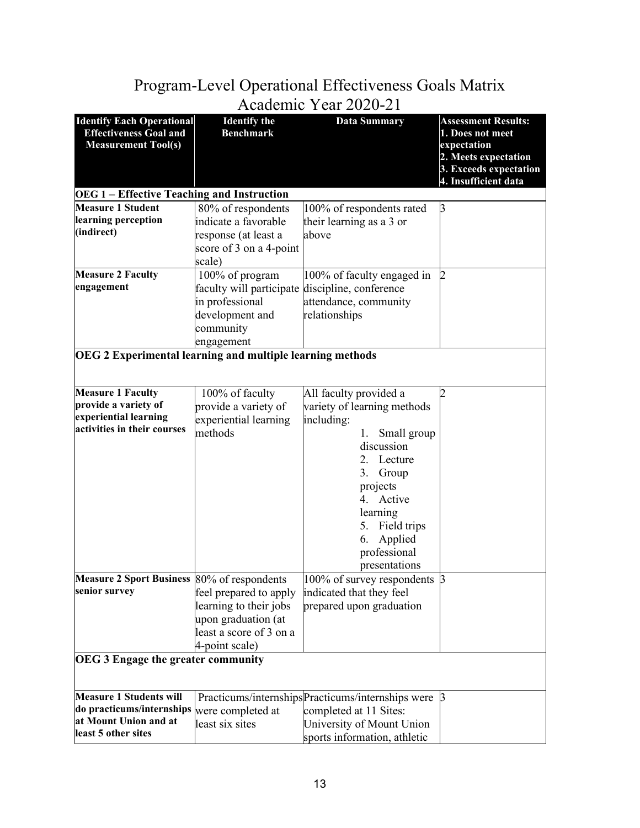|                                                                                                             |                                                                                                                      | Academic Year 2020-21                                                                                                                                                                                                                                 |                                                                                                                                         |
|-------------------------------------------------------------------------------------------------------------|----------------------------------------------------------------------------------------------------------------------|-------------------------------------------------------------------------------------------------------------------------------------------------------------------------------------------------------------------------------------------------------|-----------------------------------------------------------------------------------------------------------------------------------------|
| <b>Identify Each Operational</b><br><b>Effectiveness Goal and</b><br><b>Measurement Tool(s)</b>             | <b>Identify the</b><br><b>Benchmark</b>                                                                              | <b>Data Summary</b>                                                                                                                                                                                                                                   | <b>Assessment Results:</b><br>1. Does not meet<br>expectation<br>2. Meets expectation<br>3. Exceeds expectation<br>4. Insufficient data |
| <b>OEG 1 – Effective Teaching and Instruction</b>                                                           |                                                                                                                      |                                                                                                                                                                                                                                                       |                                                                                                                                         |
| <b>Measure 1 Student</b><br>learning perception<br>(indirect)                                               | 80% of respondents<br>indicate a favorable<br>response (at least a<br>score of 3 on a 4-point<br>scale)              | 100% of respondents rated<br>their learning as a 3 or<br>above                                                                                                                                                                                        | β                                                                                                                                       |
| <b>Measure 2 Faculty</b><br>engagement                                                                      | 100% of program<br>faculty will participate<br>in professional<br>development and<br>community<br>engagement         | 100% of faculty engaged in<br>discipline, conference<br>attendance, community<br>relationships                                                                                                                                                        | 2                                                                                                                                       |
| <b>OEG 2 Experimental learning and multiple learning methods</b>                                            |                                                                                                                      |                                                                                                                                                                                                                                                       |                                                                                                                                         |
| <b>Measure 1 Faculty</b><br>provide a variety of<br>experiential learning<br>activities in their courses    | 100% of faculty<br>provide a variety of<br>experiential learning<br>methods                                          | All faculty provided a<br>variety of learning methods<br>including:<br>Small group<br>1.<br>discussion<br>2.<br>Lecture<br>3.<br>Group<br>projects<br>Active<br>4.<br>learning<br>Field trips<br>5.<br>Applied<br>6.<br>professional<br>presentations |                                                                                                                                         |
| Measure 2 Sport Business 80% of respondents<br>senior survey                                                | feel prepared to apply<br>learning to their jobs<br>upon graduation (at<br>least a score of 3 on a<br>4-point scale) | 100% of survey respondents 3<br>indicated that they feel<br>prepared upon graduation                                                                                                                                                                  |                                                                                                                                         |
| <b>OEG 3 Engage the greater community</b>                                                                   |                                                                                                                      |                                                                                                                                                                                                                                                       |                                                                                                                                         |
| <b>Measure 1 Students will</b><br>do practicums/internships<br>at Mount Union and at<br>least 5 other sites | were completed at<br>least six sites                                                                                 | Practicums/internships Practicums/internships were 3<br>completed at 11 Sites:<br>University of Mount Union<br>sports information, athletic                                                                                                           |                                                                                                                                         |

## Program-Level Operational Effectiveness Goals Matrix